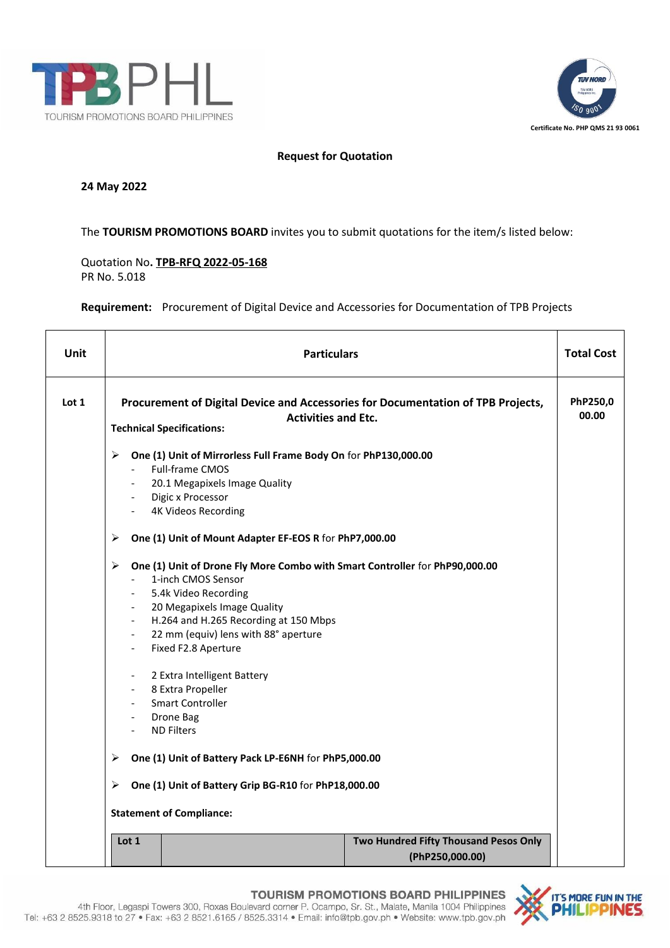



## **Request for Quotation**

## **24 May 2022**

The **TOURISM PROMOTIONS BOARD** invites you to submit quotations for the item/s listed below:

Quotation No**. TPB-RFQ 2022-05-168** PR No. 5.018

**Requirement:** Procurement of Digital Device and Accessories for Documentation of TPB Projects

| Unit  | <b>Particulars</b>                                                                                                                                                                                                                                                                                                                                                                                                                                                                                                                                                                                                                                                                                                                                                                                                                                                                                                           | <b>Total Cost</b> |  |
|-------|------------------------------------------------------------------------------------------------------------------------------------------------------------------------------------------------------------------------------------------------------------------------------------------------------------------------------------------------------------------------------------------------------------------------------------------------------------------------------------------------------------------------------------------------------------------------------------------------------------------------------------------------------------------------------------------------------------------------------------------------------------------------------------------------------------------------------------------------------------------------------------------------------------------------------|-------------------|--|
| Lot 1 | Procurement of Digital Device and Accessories for Documentation of TPB Projects,<br><b>Activities and Etc.</b><br><b>Technical Specifications:</b>                                                                                                                                                                                                                                                                                                                                                                                                                                                                                                                                                                                                                                                                                                                                                                           | PhP250,0<br>00.00 |  |
|       | One (1) Unit of Mirrorless Full Frame Body On for PhP130,000.00<br>≻<br>Full-frame CMOS<br>20.1 Megapixels Image Quality<br>- Digic x Processor<br><b>4K Videos Recording</b><br>One (1) Unit of Mount Adapter EF-EOS R for PhP7,000.00<br>≻<br>One (1) Unit of Drone Fly More Combo with Smart Controller for PhP90,000.00<br>≻<br>1-inch CMOS Sensor<br>$\sim$<br>5.4k Video Recording<br>20 Megapixels Image Quality<br>$\sim 100$<br>- H.264 and H.265 Recording at 150 Mbps<br>22 mm (equiv) lens with 88° aperture<br>$\sim$<br>Fixed F2.8 Aperture<br>$\overline{\phantom{a}}$<br>2 Extra Intelligent Battery<br>8 Extra Propeller<br>$\overline{\phantom{a}}$<br><b>Smart Controller</b><br>$\blacksquare$<br>Drone Bag<br>$\blacksquare$<br><b>ND Filters</b><br>$\overline{\phantom{a}}$<br>One (1) Unit of Battery Pack LP-E6NH for PhP5,000.00<br>⋗<br>One (1) Unit of Battery Grip BG-R10 for PhP18,000.00<br>≻ |                   |  |
|       | <b>Statement of Compliance:</b>                                                                                                                                                                                                                                                                                                                                                                                                                                                                                                                                                                                                                                                                                                                                                                                                                                                                                              |                   |  |
|       | Two Hundred Fifty Thousand Pesos Only<br>Lot 1<br>(PhP250,000.00)                                                                                                                                                                                                                                                                                                                                                                                                                                                                                                                                                                                                                                                                                                                                                                                                                                                            |                   |  |

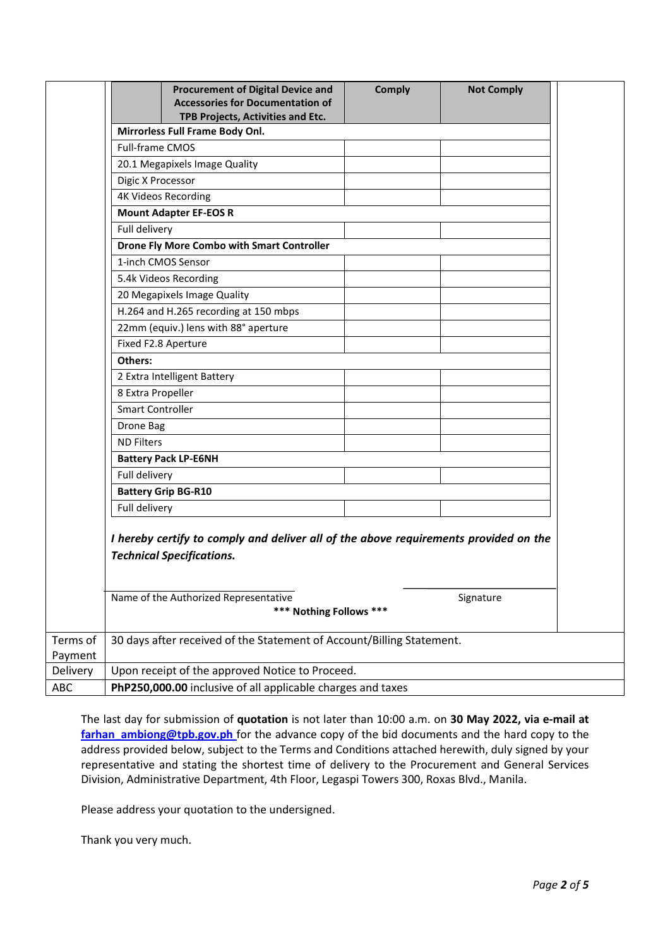|                     | <b>Procurement of Digital Device and</b><br><b>Accessories for Documentation of</b><br>TPB Projects, Activities and Etc. | <b>Comply</b> | <b>Not Comply</b> |  |  |
|---------------------|--------------------------------------------------------------------------------------------------------------------------|---------------|-------------------|--|--|
|                     | Mirrorless Full Frame Body Onl.                                                                                          |               |                   |  |  |
|                     | <b>Full-frame CMOS</b>                                                                                                   |               |                   |  |  |
|                     | 20.1 Megapixels Image Quality                                                                                            |               |                   |  |  |
|                     | Digic X Processor                                                                                                        |               |                   |  |  |
|                     | <b>4K Videos Recording</b>                                                                                               |               |                   |  |  |
|                     | <b>Mount Adapter EF-EOS R</b>                                                                                            |               |                   |  |  |
|                     | Full delivery                                                                                                            |               |                   |  |  |
|                     | <b>Drone Fly More Combo with Smart Controller</b>                                                                        |               |                   |  |  |
|                     | 1-inch CMOS Sensor                                                                                                       |               |                   |  |  |
|                     | 5.4k Videos Recording                                                                                                    |               |                   |  |  |
|                     | 20 Megapixels Image Quality                                                                                              |               |                   |  |  |
|                     | H.264 and H.265 recording at 150 mbps                                                                                    |               |                   |  |  |
|                     | 22mm (equiv.) lens with 88° aperture                                                                                     |               |                   |  |  |
|                     | Fixed F2.8 Aperture                                                                                                      |               |                   |  |  |
|                     | Others:                                                                                                                  |               |                   |  |  |
|                     | 2 Extra Intelligent Battery                                                                                              |               |                   |  |  |
|                     | 8 Extra Propeller                                                                                                        |               |                   |  |  |
|                     | <b>Smart Controller</b>                                                                                                  |               |                   |  |  |
|                     | Drone Bag                                                                                                                |               |                   |  |  |
|                     | <b>ND Filters</b>                                                                                                        |               |                   |  |  |
|                     | <b>Battery Pack LP-E6NH</b>                                                                                              |               |                   |  |  |
|                     | Full delivery                                                                                                            |               |                   |  |  |
|                     | <b>Battery Grip BG-R10</b>                                                                                               |               |                   |  |  |
|                     | Full delivery                                                                                                            |               |                   |  |  |
|                     | I hereby certify to comply and deliver all of the above requirements provided on the<br><b>Technical Specifications.</b> |               |                   |  |  |
|                     | Name of the Authorized Representative<br>*** Nothing Follows ***                                                         |               | Signature         |  |  |
| Terms of<br>Payment | 30 days after received of the Statement of Account/Billing Statement.                                                    |               |                   |  |  |
| Delivery            | Upon receipt of the approved Notice to Proceed.                                                                          |               |                   |  |  |
| ABC                 | PhP250,000.00 inclusive of all applicable charges and taxes                                                              |               |                   |  |  |

The last day for submission of **quotation** is not later than 10:00 a.m. on **30 May 2022, via e-mail at** [farhan\\_ambiong@tpb.gov.ph](mailto:farhan_ambiong@tpb.gov.ph) for the advance copy of the bid documents and the hard copy to the address provided below, subject to the Terms and Conditions attached herewith, duly signed by your representative and stating the shortest time of delivery to the Procurement and General Services Division, Administrative Department, 4th Floor, Legaspi Towers 300, Roxas Blvd., Manila.

Please address your quotation to the undersigned.

Thank you very much.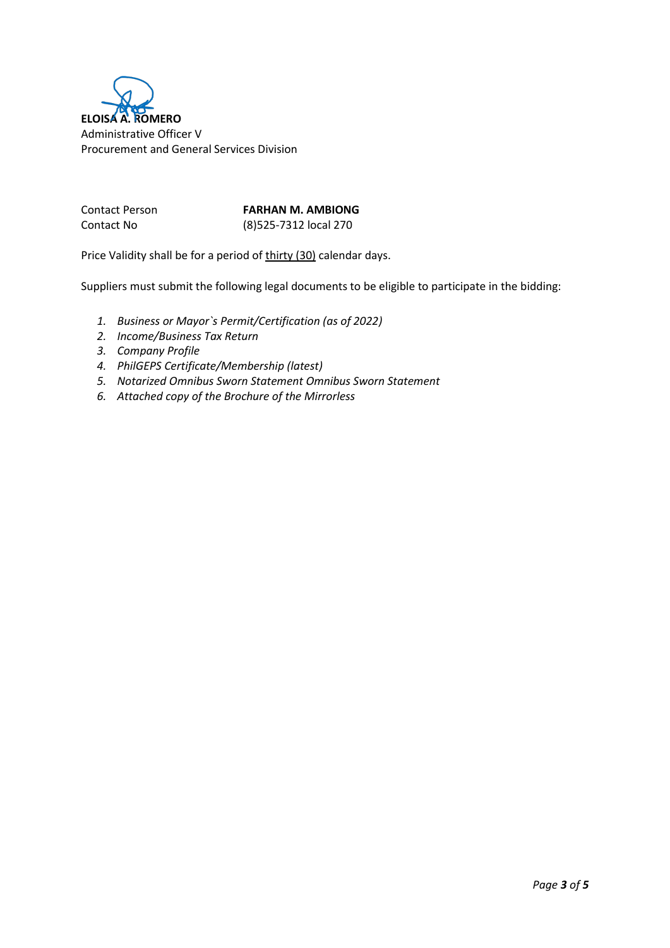

Contact Person **FARHAN M. AMBIONG** Contact No (8)525-7312 local 270

Price Validity shall be for a period of thirty (30) calendar days.

Suppliers must submit the following legal documents to be eligible to participate in the bidding:

- *1. Business or Mayor`s Permit/Certification (as of 2022)*
- *2. Income/Business Tax Return*
- *3. Company Profile*
- *4. PhilGEPS Certificate/Membership (latest)*
- *5. Notarized Omnibus Sworn Statement Omnibus Sworn Statement*
- *6. Attached copy of the Brochure of the Mirrorless*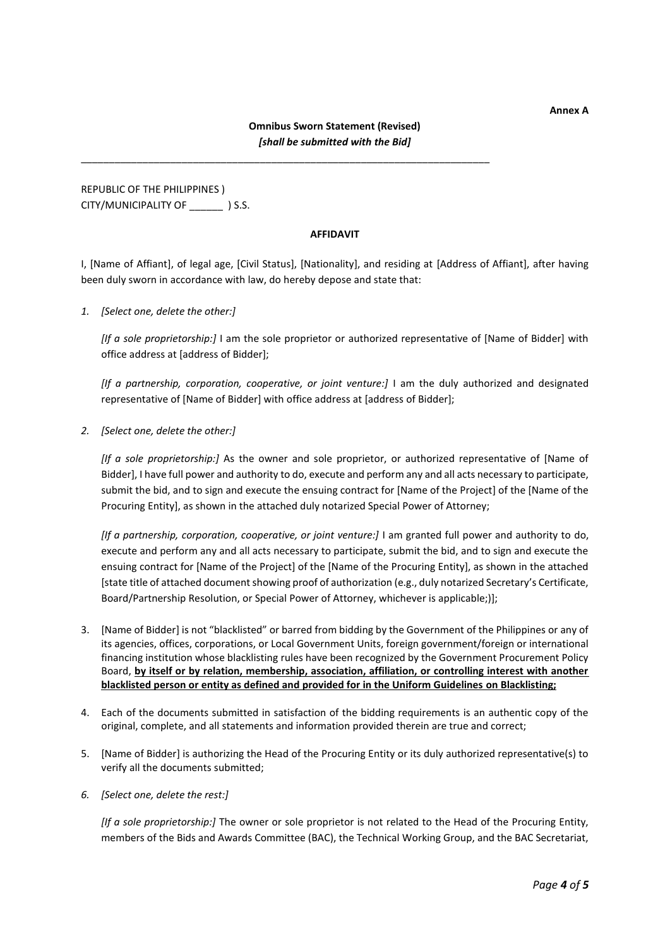**Annex A**

\_\_\_\_\_\_\_\_\_\_\_\_\_\_\_\_\_\_\_\_\_\_\_\_\_\_\_\_\_\_\_\_\_\_\_\_\_\_\_\_\_\_\_\_\_\_\_\_\_\_\_\_\_\_\_\_\_\_\_\_\_\_\_\_\_\_\_\_\_\_\_\_\_

REPUBLIC OF THE PHILIPPINES ) CITY/MUNICIPALITY OF **WALLET** ) S.S.

## **AFFIDAVIT**

I, [Name of Affiant], of legal age, [Civil Status], [Nationality], and residing at [Address of Affiant], after having been duly sworn in accordance with law, do hereby depose and state that:

*1. [Select one, delete the other:]*

*[If a sole proprietorship:]* I am the sole proprietor or authorized representative of [Name of Bidder] with office address at [address of Bidder];

*[If a partnership, corporation, cooperative, or joint venture:]* I am the duly authorized and designated representative of [Name of Bidder] with office address at [address of Bidder];

*2. [Select one, delete the other:]*

*[If a sole proprietorship:]* As the owner and sole proprietor, or authorized representative of [Name of Bidder], I have full power and authority to do, execute and perform any and all acts necessary to participate, submit the bid, and to sign and execute the ensuing contract for [Name of the Project] of the [Name of the Procuring Entity], as shown in the attached duly notarized Special Power of Attorney;

*[If a partnership, corporation, cooperative, or joint venture:]* I am granted full power and authority to do, execute and perform any and all acts necessary to participate, submit the bid, and to sign and execute the ensuing contract for [Name of the Project] of the [Name of the Procuring Entity], as shown in the attached [state title of attached document showing proof of authorization (e.g., duly notarized Secretary's Certificate, Board/Partnership Resolution, or Special Power of Attorney, whichever is applicable;)];

- 3. [Name of Bidder] is not "blacklisted" or barred from bidding by the Government of the Philippines or any of its agencies, offices, corporations, or Local Government Units, foreign government/foreign or international financing institution whose blacklisting rules have been recognized by the Government Procurement Policy Board, **by itself or by relation, membership, association, affiliation, or controlling interest with another blacklisted person or entity as defined and provided for in the Uniform Guidelines on Blacklisting;**
- 4. Each of the documents submitted in satisfaction of the bidding requirements is an authentic copy of the original, complete, and all statements and information provided therein are true and correct;
- 5. [Name of Bidder] is authorizing the Head of the Procuring Entity or its duly authorized representative(s) to verify all the documents submitted;
- *6. [Select one, delete the rest:]*

*[If a sole proprietorship:]* The owner or sole proprietor is not related to the Head of the Procuring Entity, members of the Bids and Awards Committee (BAC), the Technical Working Group, and the BAC Secretariat,